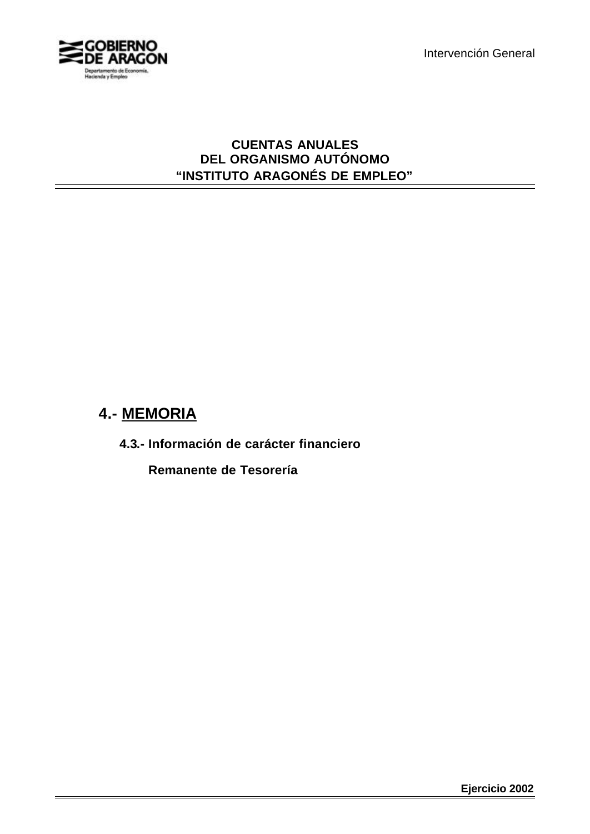

### **CUENTAS ANUALES DEL ORGANISMO AUTÓNOMO "INSTITUTO ARAGONÉS DE EMPLEO"**

# **4.- MEMORIA**

**4.3.- Información de carácter financiero**

**Remanente de Tesorería**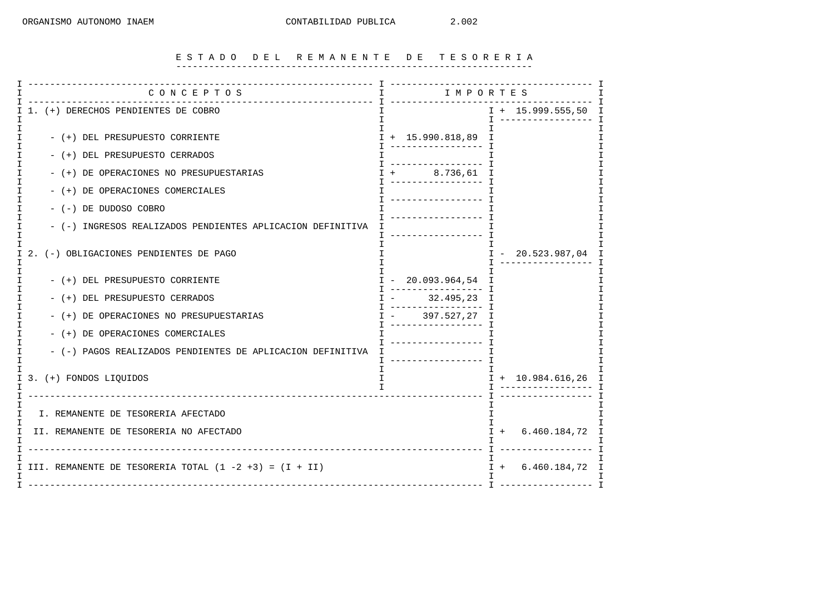#### E S T A D O D E L R E M A N E N T E D E T E S O R E R I A -----------------------------------------------------------------

| _____________________<br>CONCEPTOS                         |                                                           | ----------- T          |
|------------------------------------------------------------|-----------------------------------------------------------|------------------------|
| I 1. (+) DERECHOS PENDIENTES DE COBRO                      |                                                           | $I + 15.999.555,50 I$  |
| - (+) DEL PRESUPUESTO CORRIENTE                            | $I + 15.990.818,89$ I<br>. <u>- - - - - - - - - - - T</u> |                        |
| - (+) DEL PRESUPUESTO CERRADOS                             | ___________________                                       |                        |
| - (+) DE OPERACIONES NO PRESUPUESTARIAS                    | 8.736,61<br>-----------------                             | I                      |
| - (+) DE OPERACIONES COMERCIALES                           | ___________________                                       |                        |
| - (-) DE DUDOSO COBRO                                      |                                                           |                        |
| - (-) INGRESOS REALIZADOS PENDIENTES APLICACION DEFINITIVA | T ------------------                                      |                        |
| (-) OBLIGACIONES PENDIENTES DE PAGO<br>I 2.                |                                                           | $I - 20.523.987.04$    |
| - (+) DEL PRESUPUESTO CORRIENTE                            | $I - 20.093.964, 54 I$                                    |                        |
| - (+) DEL PRESUPUESTO CERRADOS                             | 32.495,23 I                                               |                        |
| - (+) DE OPERACIONES NO PRESUPUESTARIAS                    | 397.527,27<br>---------------- T                          | I                      |
| - (+) DE OPERACIONES COMERCIALES                           | _________________                                         |                        |
| - (-) PAGOS REALIZADOS PENDIENTES DE APLICACION DEFINITIVA | -----------------                                         |                        |
| I 3. (+) FONDOS LIQUIDOS                                   | $\mathbf{I}$<br>$\mathbf{I}$                              | $I + 10.984.616, 26 I$ |
| I<br>I. REMANENTE DE TESORERIA AFECTADO                    |                                                           | T.                     |
| II. REMANENTE DE TESORERIA NO AFECTADO<br>I                | $I + 6.460.184.72 I$                                      |                        |
| I III. REMANENTE DE TESORERIA TOTAL (1 -2 +3) = (I + II)   | $I + 6.460.184, 72 I$                                     |                        |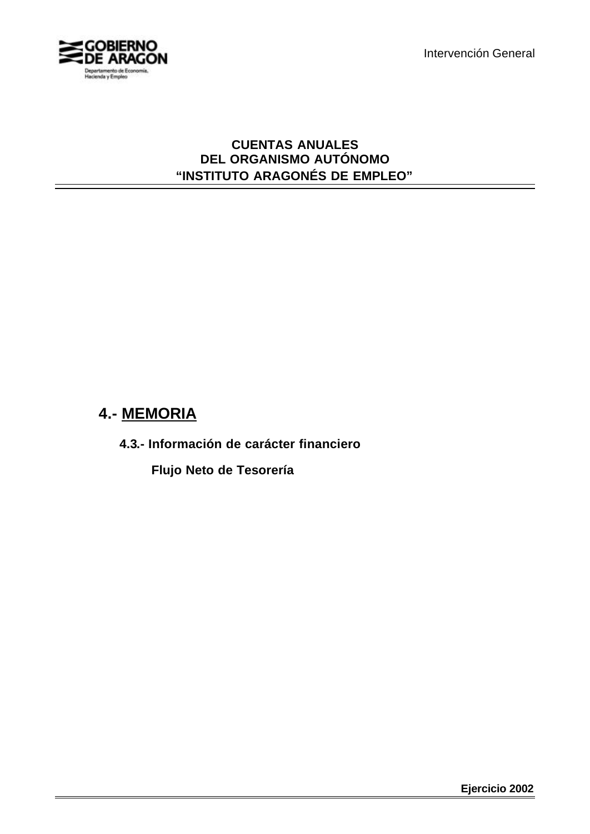

### **CUENTAS ANUALES DEL ORGANISMO AUTÓNOMO "INSTITUTO ARAGONÉS DE EMPLEO"**

# **4.- MEMORIA**

**4.3.- Información de carácter financiero**

**Flujo Neto de Tesorería**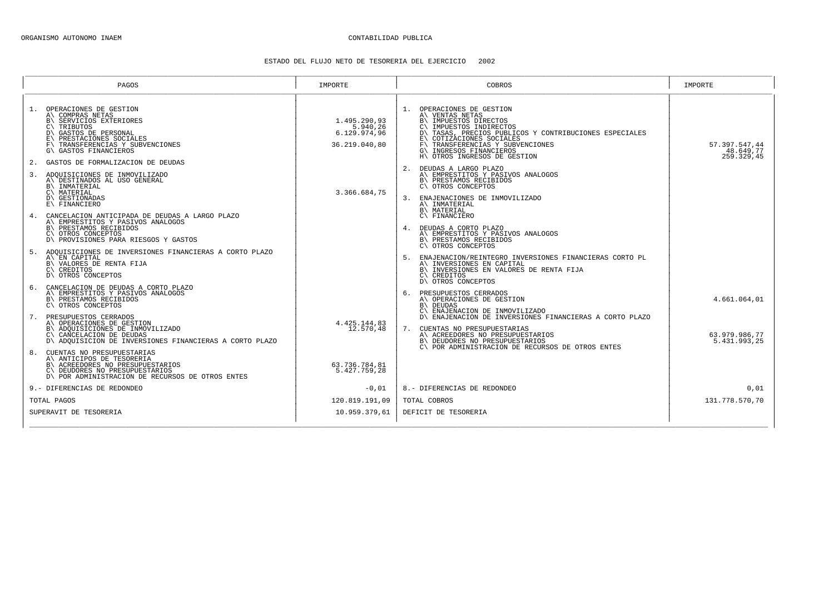#### ESTADO DEL FLUJO NETO DE TESORERIA DEL EJERCICIO 2002

| PAGOS                                                                                                                                                                                                                                                                                                 | IMPORTE                                                   | COBROS                                                                                                                                                                                                                                                                                                                                                                            | IMPORTE                                  |
|-------------------------------------------------------------------------------------------------------------------------------------------------------------------------------------------------------------------------------------------------------------------------------------------------------|-----------------------------------------------------------|-----------------------------------------------------------------------------------------------------------------------------------------------------------------------------------------------------------------------------------------------------------------------------------------------------------------------------------------------------------------------------------|------------------------------------------|
| OPERACIONES DE GESTION<br>1.<br>A\ COMPRAS NETAS<br>B\ SERVICIOS EXTERIORES<br>C\TRIBUTOS<br>D\ GASTOS DE PERSONAL<br>PRESTACIONES SOCIALES<br>TRANSFERENCIAS Y SUBVENCIONES<br>$F \setminus$<br>G\ GASTOS FINANCIEROS<br>2. GASTOS DE FORMALIZACION DE DEUDAS<br>ADOUISICIONES DE INMOVILIZADO<br>3. | 1.495.290.93<br>5.940,26<br>6.129.974.96<br>36.219.040,80 | OPERACIONES DE GESTION<br>1.<br>A\ VENTAS NETAS<br>B\ IMPUESTOS DIRECTOS<br>IMPUESTOS INDIRECTOS<br>$C \setminus$<br>TASAS, PRECIOS PUBLICOS Y CONTRIBUCIONES ESPECIALES<br>D١<br>COTIZACIONES SOCIALES<br>TRANSFERENCIAS Y SUBVENCIONES<br>$F \setminus$<br>G\ INGRESOS FINANCIEROS<br>H\ OTROS INGRESOS DE GESTION<br>DEUDAS A LARGO PLAZO<br>A\ EMPRESTITOS Y PASIVOS ANALOGOS | 57.397.547,44<br>48.649,77<br>259.329,45 |
| A\ DESTINADOS AL USO GENERAL<br>B\ INMATERIAL<br>C\ MATERIAL<br>D\ GESTIONADAS<br>E\ FINANCIERO                                                                                                                                                                                                       | 3.366.684,75                                              | B\ PRESTAMOS RECIBIDOS<br>C\ OTROS CONCEPTOS<br>3. ENAJENACIONES DE INMOVILIZADO<br>A\ INMATERIAL<br>B\ MATERIAL                                                                                                                                                                                                                                                                  |                                          |
| CANCELACION ANTICIPADA DE DEUDAS A LARGO PLAZO<br>A\ EMPRESTITOS Y PASIVOS ANALOGOS<br>B\ PRESTAMOS RECIBIDOS<br>C\ OTROS CONCEPTOS<br>D\ PROVISIONES PARA RIESGOS Y GASTOS                                                                                                                           |                                                           | $C\backslash$ FINANCIERO<br>4. DEUDAS A CORTO PLAZO<br>A\ EMPRESTITOS Y PASIVOS ANALOGOS<br>B\ PRESTAMOS RECIBIDOS<br>C\ OTROS CONCEPTOS                                                                                                                                                                                                                                          |                                          |
| 5. ADOUISICIONES DE INVERSIONES FINANCIERAS A CORTO PLAZO<br>A\ EN CAPITAL<br>B\ VALORES DE RENTA FIJA<br>C\ CREDITOS<br>D\ OTROS CONCEPTOS                                                                                                                                                           |                                                           | 5. ENAJENACION/REINTEGRO INVERSIONES FINANCIERAS CORTO PL<br>A\ INVERSIONES EN CAPITAL<br>B\ INVERSIONES EN VALORES DE RENTA FIJA<br>C\ CREDITOS<br>D\ OTROS CONCEPTOS                                                                                                                                                                                                            |                                          |
| 6. CANCELACION DE DEUDAS A CORTO PLAZO<br>A\ EMPRESTITOS Y PASIVOS ANALOGOS<br>B\ PRESTAMOS RECIBIDOS<br>C\ OTROS CONCEPTOS<br>PRESUPUESTOS CERRADOS<br>7.                                                                                                                                            |                                                           | 6. PRESUPUESTOS CERRADOS<br>A\ OPERACIONES DE GESTION<br><b>B\ DEUDAS</b><br>C\ ENAJENACION DE INMOVILIZADO<br>D\ ENAJENACION DE INVERSIONES FINANCIERAS A CORTO PLAZO                                                                                                                                                                                                            | 4.661.064,01                             |
| A\ OPERACIONES DE GESTION<br>B\ ADQUISICIONES DE INMOVILIZADO<br>C\ CANCELACION DE DEUDAS<br>D\ ADOUISICION DE INVERSIONES FINANCIERAS A CORTO PLAZO                                                                                                                                                  | 4.425.144,83<br>12.570,48                                 | CUENTAS NO PRESUPUESTARIAS<br>7.<br>A\ ACREEDORES NO PRESUPUESTARIOS<br>B\ DEUDORES NO PRESUPUESTARIOS<br>C\ POR ADMINISTRACION DE RECURSOS DE OTROS ENTES                                                                                                                                                                                                                        | 63.979.986.77<br>5.431.993,25            |
| CUENTAS NO PRESUPUESTARIAS<br>A\ ANTICIPOS DE TESORERIA<br>B\ ACREEDORES NO PRESUPUESTARIOS<br>C\ DEUDORES NO PRESUPUESTARIOS<br>D\ POR ADMINISTRACION DE RECURSOS DE OTROS ENTES                                                                                                                     | 63.736.784,81<br>5.427.759.28                             |                                                                                                                                                                                                                                                                                                                                                                                   |                                          |
| 9.- DIFERENCIAS DE REDONDEO                                                                                                                                                                                                                                                                           | $-0,01$                                                   | 8.- DIFERENCIAS DE REDONDEO                                                                                                                                                                                                                                                                                                                                                       | 0.01                                     |
| TOTAL PAGOS                                                                                                                                                                                                                                                                                           | 120.819.191.09                                            | TOTAL COBROS                                                                                                                                                                                                                                                                                                                                                                      | 131.778.570,70                           |
| SUPERAVIT DE TESORERIA                                                                                                                                                                                                                                                                                | 10.959.379.61                                             | DEFICIT DE TESORERIA                                                                                                                                                                                                                                                                                                                                                              |                                          |
|                                                                                                                                                                                                                                                                                                       |                                                           |                                                                                                                                                                                                                                                                                                                                                                                   |                                          |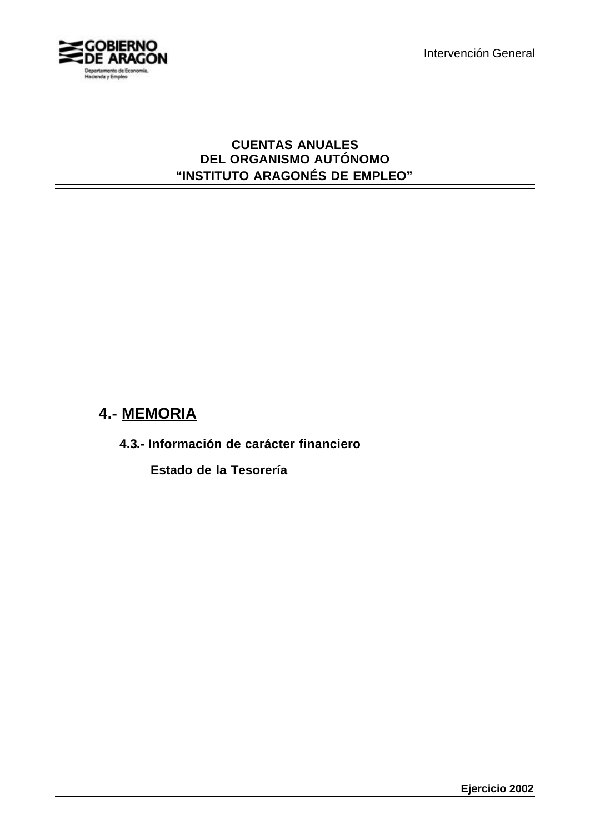

### **CUENTAS ANUALES DEL ORGANISMO AUTÓNOMO "INSTITUTO ARAGONÉS DE EMPLEO"**

# **4.- MEMORIA**

**4.3.- Información de carácter financiero**

 **Estado de la Tesorería**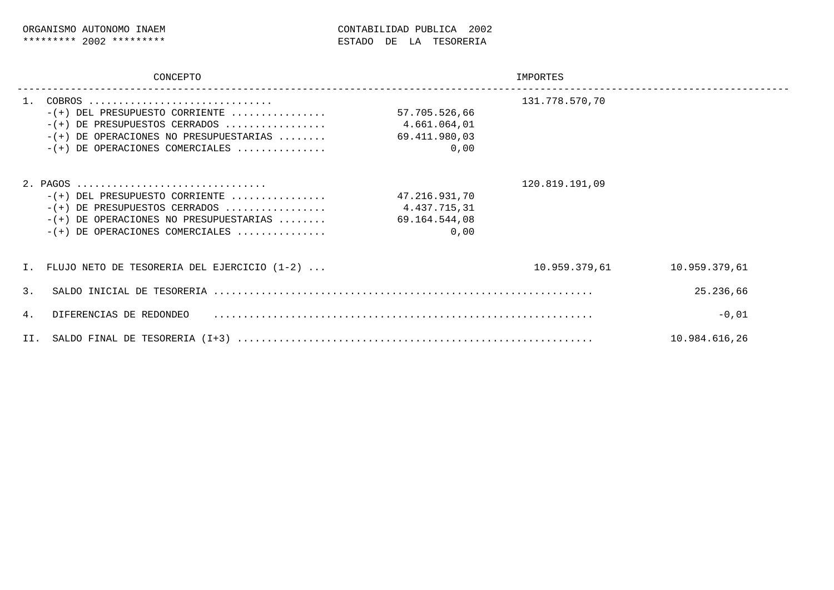|                                 | CONCEPTO                                                                                                                                                                                                            | IMPORTES                                               |                |               |  |  |
|---------------------------------|---------------------------------------------------------------------------------------------------------------------------------------------------------------------------------------------------------------------|--------------------------------------------------------|----------------|---------------|--|--|
| $- (+ )$<br>$-$ ( +<br>$- (+ )$ | COBROS<br>$-(+)$ DEL PRESUPUESTO CORRIENTE<br>DE PRESUPUESTOS CERRADOS<br>DE OPERACIONES NO PRESUPUESTARIAS<br>DE OPERACIONES COMERCIALES                                                                           | 57.705.526,66<br>4.661.064,01<br>69.411.980,03<br>0,00 | 131.778.570,70 |               |  |  |
| $- (+ )$<br>$- (+ )$            | 2. PAGOS $\ldots \ldots \ldots \ldots \ldots \ldots \ldots \ldots \ldots \ldots$<br>$-(+)$ DEL PRESUPUESTO CORRIENTE<br>DE PRESUPUESTOS CERRADOS<br>DE OPERACIONES NO PRESUPUESTARIAS<br>DE OPERACIONES COMERCIALES | 47.216.931,70<br>4.437.715,31<br>69.164.544,08<br>0,00 | 120.819.191,09 |               |  |  |
|                                 | FLUJO NETO DE TESORERIA DEL EJERCICIO (1-2)                                                                                                                                                                         |                                                        | 10.959.379,61  | 10.959.379,61 |  |  |
| 3.                              |                                                                                                                                                                                                                     |                                                        |                | 25.236,66     |  |  |
| 4.                              | $-0,01$<br>DIFERENCIAS DE REDONDEO                                                                                                                                                                                  |                                                        |                |               |  |  |
| II.                             | 10.984.616,26<br>SALDO FINAL DE TESORERIA (I+3)                                                                                                                                                                     |                                                        |                |               |  |  |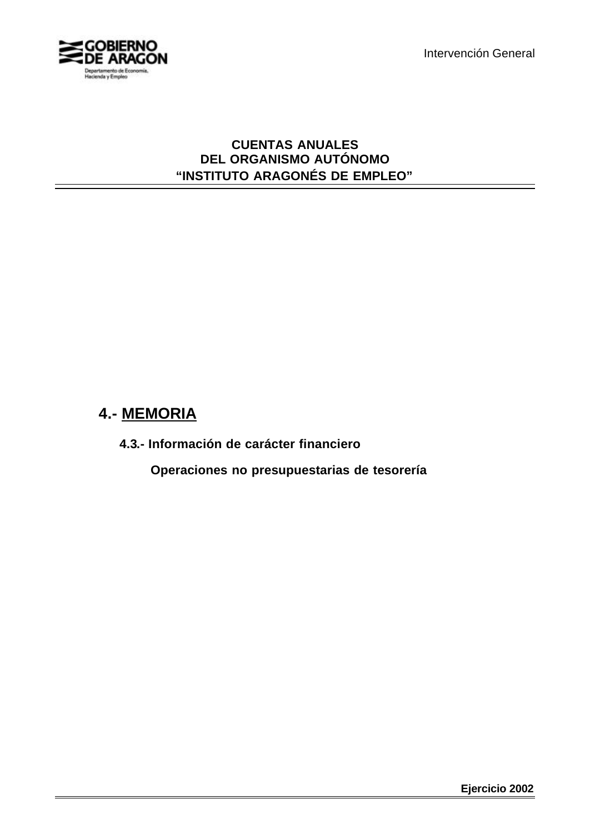

### **CUENTAS ANUALES DEL ORGANISMO AUTÓNOMO "INSTITUTO ARAGONÉS DE EMPLEO"**

# **4.- MEMORIA**

**4.3.- Información de carácter financiero**

 **Operaciones no presupuestarias de tesorería**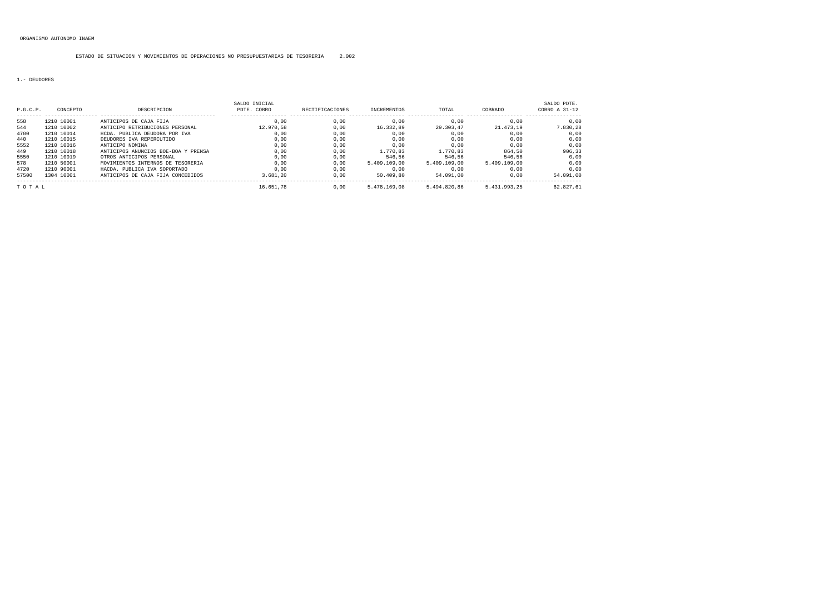#### ESTADO DE SITUACION Y MOVIMIENTOS DE OPERACIONES NO PRESUPUESTARIAS DE TESORERIA 2.002

#### 1.- DEUDORES

| P.G.C.P. | CONCEPTO   | DESCRIPCION                         | SALDO INICIAL<br>PDTE, COBRO | <b>RECTIFICACIONES</b> | INCREMENTOS  | TOTAL        | COBRADO      | SALDO PDTE.<br>COBRO A 31-12 |
|----------|------------|-------------------------------------|------------------------------|------------------------|--------------|--------------|--------------|------------------------------|
| 558      | 1210 10001 | ANTICIPOS DE CAJA FIJA              | 0.00                         | 0.00                   | 0.00         | 0.00         | 0.00         | 0.00                         |
| 544      | 1210 10002 | ANTICIPO RETRIBUCIONES PERSONAL     | 12.970.58                    | 0.00                   | 16.332.89    | 29.303.47    | 21.473.19    | 7.830.28                     |
| 4700     | 1210 10014 | HCDA, PUBLICA DEUDORA POR IVA       | 0.00                         | 0.00                   | 0.00         | 0.00         | 0.00         | 0.00                         |
| 440      | 1210 10015 | DEUDORES IVA REPERCUTIDO            | 0.00                         | 0.00                   | 0.00         | 0.00         | 0.00         | 0.00                         |
| 5552     | 1210 10016 | ANTICIPO NOMINA                     | 0.00                         | 0.00                   | 0.00         | 0.00         | 0.00         | 0.00                         |
| 449      | 1210 10018 | ANTICIPOS ANUNCIOS BOE-BOA Y PRENSA | 0.00                         | 0.00                   | 1.770.83     | 1.770.83     | 864.50       | 906.33                       |
| 5550     | 1210 10019 | OTROS ANTICIPOS PERSONAL            | 0.00                         | 0.00                   | 546.56       | 546.56       | 546.56       | 0.00                         |
| 578      | 1210 50001 | MOVIMIENTOS INTERNOS DE TESORERIA   | 0.00                         | 0.00                   | 5.409.109.00 | 5.409.109.00 | 5.409.109.00 | 0.00                         |
| 4720     | 1210 90001 | HACDA. PUBLICA IVA SOPORTADO        | 0.00                         | 0.00                   | 0.00         | 0.00         | 0.00         | 0.00                         |
| 57500    | 1304 10001 | ANTICIPOS DE CAJA FIJA CONCEDIDOS   | 3.681.20                     | 0.00                   | 50.409.80    | 54.091.00    | 0.00         | 54.091.00                    |
| TOTAL    |            |                                     | 16.651.78                    | 0.00                   | 5.478.169.08 | 5.494.820.86 | 5.431.993.25 | 62.827.61                    |